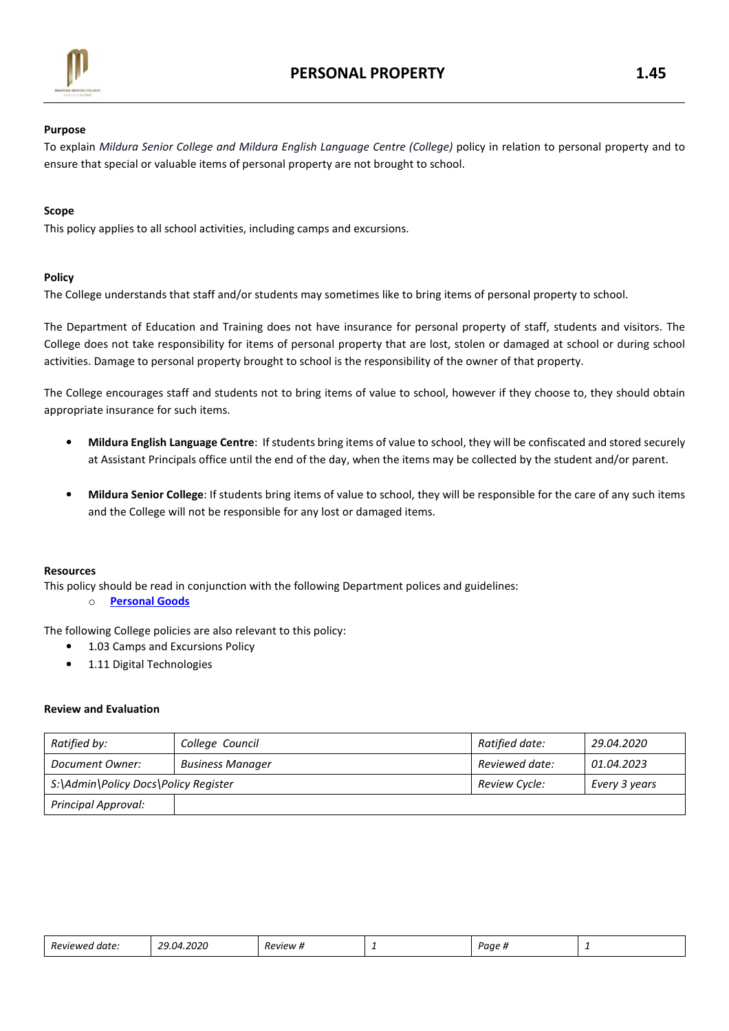

## Purpose

To explain Mildura Senior College and Mildura English Language Centre (College) policy in relation to personal property and to ensure that special or valuable items of personal property are not brought to school.

# Scope

This policy applies to all school activities, including camps and excursions.

## Policy

The College understands that staff and/or students may sometimes like to bring items of personal property to school.

The Department of Education and Training does not have insurance for personal property of staff, students and visitors. The College does not take responsibility for items of personal property that are lost, stolen or damaged at school or during school activities. Damage to personal property brought to school is the responsibility of the owner of that property.

The College encourages staff and students not to bring items of value to school, however if they choose to, they should obtain appropriate insurance for such items.

- Mildura English Language Centre: If students bring items of value to school, they will be confiscated and stored securely at Assistant Principals office until the end of the day, when the items may be collected by the student and/or parent.
- Mildura Senior College: If students bring items of value to school, they will be responsible for the care of any such items and the College will not be responsible for any lost or damaged items.

## Resources

This policy should be read in conjunction with the following Department polices and guidelines:

o Personal Goods

The following College policies are also relevant to this policy:

- 1.03 Camps and Excursions Policy
- 1.11 Digital Technologies

## Review and Evaluation

| Ratified by:                         | College Council         | Ratified date: | 29.04.2020    |
|--------------------------------------|-------------------------|----------------|---------------|
| Document Owner:                      | <b>Business Manager</b> | Reviewed date: | 01.04.2023    |
| S:\Admin\Policy Docs\Policy Register |                         | Review Cycle:  | Every 3 years |
| Principal Approval:                  |                         |                |               |

| Reviewer<br>date. | 4.2020<br>~~<br>- 14<br>.<br>. <i>. .</i> .<br>. | Review | - | Paae | - |
|-------------------|--------------------------------------------------|--------|---|------|---|
|-------------------|--------------------------------------------------|--------|---|------|---|